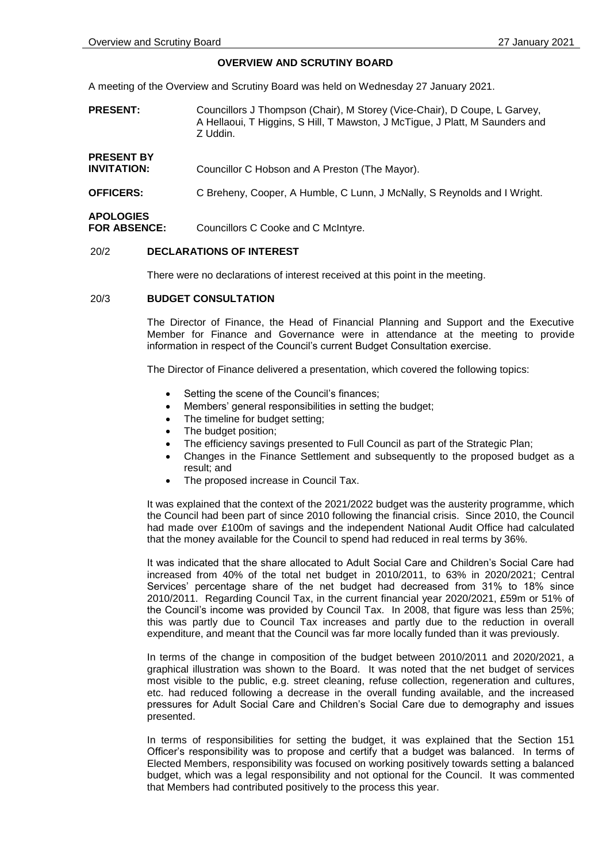#### **OVERVIEW AND SCRUTINY BOARD**

A meeting of the Overview and Scrutiny Board was held on Wednesday 27 January 2021.

- **PRESENT:** Councillors J Thompson (Chair), M Storey (Vice-Chair), D Coupe, L Garvey, A Hellaoui, T Higgins, S Hill, T Mawston, J McTigue, J Platt, M Saunders and Z Uddin.
- **PRESENT BY INVITATION:** Councillor C Hobson and A Preston (The Mayor).
- **OFFICERS:** C Breheny, Cooper, A Humble, C Lunn, J McNally, S Reynolds and I Wright.

# **APOLOGIES**

**FOR ABSENCE:** Councillors C Cooke and C McIntyre.

# 20/2 **DECLARATIONS OF INTEREST**

There were no declarations of interest received at this point in the meeting.

# 20/3 **BUDGET CONSULTATION**

The Director of Finance, the Head of Financial Planning and Support and the Executive Member for Finance and Governance were in attendance at the meeting to provide information in respect of the Council's current Budget Consultation exercise.

The Director of Finance delivered a presentation, which covered the following topics:

- Setting the scene of the Council's finances;
- Members' general responsibilities in setting the budget;
- The timeline for budget setting;
- The budget position;
- The efficiency savings presented to Full Council as part of the Strategic Plan;
- Changes in the Finance Settlement and subsequently to the proposed budget as a result; and
- The proposed increase in Council Tax.

It was explained that the context of the 2021/2022 budget was the austerity programme, which the Council had been part of since 2010 following the financial crisis. Since 2010, the Council had made over £100m of savings and the independent National Audit Office had calculated that the money available for the Council to spend had reduced in real terms by 36%.

It was indicated that the share allocated to Adult Social Care and Children's Social Care had increased from 40% of the total net budget in 2010/2011, to 63% in 2020/2021; Central Services' percentage share of the net budget had decreased from 31% to 18% since 2010/2011. Regarding Council Tax, in the current financial year 2020/2021, £59m or 51% of the Council's income was provided by Council Tax. In 2008, that figure was less than 25%; this was partly due to Council Tax increases and partly due to the reduction in overall expenditure, and meant that the Council was far more locally funded than it was previously.

In terms of the change in composition of the budget between 2010/2011 and 2020/2021, a graphical illustration was shown to the Board. It was noted that the net budget of services most visible to the public, e.g. street cleaning, refuse collection, regeneration and cultures, etc. had reduced following a decrease in the overall funding available, and the increased pressures for Adult Social Care and Children's Social Care due to demography and issues presented.

In terms of responsibilities for setting the budget, it was explained that the Section 151 Officer's responsibility was to propose and certify that a budget was balanced. In terms of Elected Members, responsibility was focused on working positively towards setting a balanced budget, which was a legal responsibility and not optional for the Council. It was commented that Members had contributed positively to the process this year.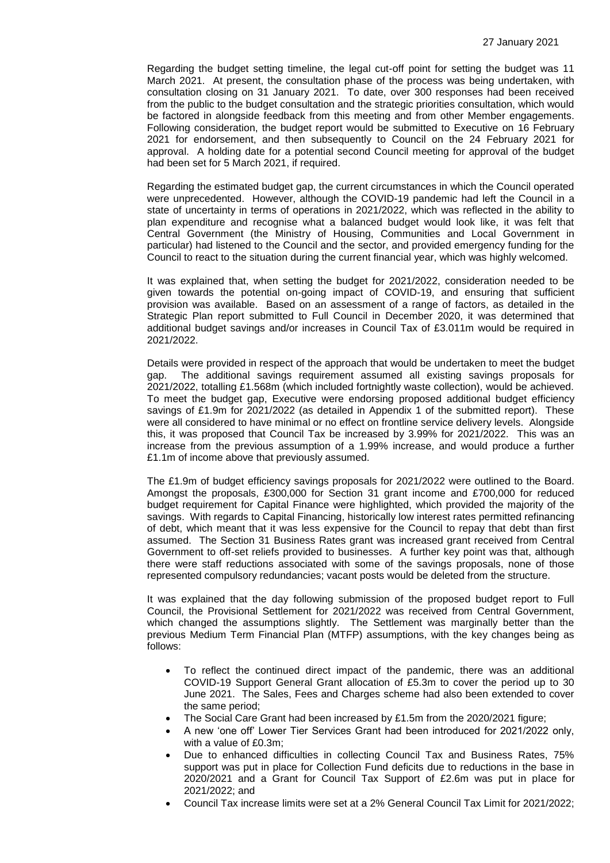Regarding the budget setting timeline, the legal cut-off point for setting the budget was 11 March 2021. At present, the consultation phase of the process was being undertaken, with consultation closing on 31 January 2021. To date, over 300 responses had been received from the public to the budget consultation and the strategic priorities consultation, which would be factored in alongside feedback from this meeting and from other Member engagements. Following consideration, the budget report would be submitted to Executive on 16 February 2021 for endorsement, and then subsequently to Council on the 24 February 2021 for approval. A holding date for a potential second Council meeting for approval of the budget had been set for 5 March 2021, if required.

Regarding the estimated budget gap, the current circumstances in which the Council operated were unprecedented. However, although the COVID-19 pandemic had left the Council in a state of uncertainty in terms of operations in 2021/2022, which was reflected in the ability to plan expenditure and recognise what a balanced budget would look like, it was felt that Central Government (the Ministry of Housing, Communities and Local Government in particular) had listened to the Council and the sector, and provided emergency funding for the Council to react to the situation during the current financial year, which was highly welcomed.

It was explained that, when setting the budget for 2021/2022, consideration needed to be given towards the potential on-going impact of COVID-19, and ensuring that sufficient provision was available. Based on an assessment of a range of factors, as detailed in the Strategic Plan report submitted to Full Council in December 2020, it was determined that additional budget savings and/or increases in Council Tax of £3.011m would be required in 2021/2022.

Details were provided in respect of the approach that would be undertaken to meet the budget gap. The additional savings requirement assumed all existing savings for The additional savings requirement assumed all existing savings proposals for 2021/2022, totalling £1.568m (which included fortnightly waste collection), would be achieved. To meet the budget gap, Executive were endorsing proposed additional budget efficiency savings of £1.9m for 2021/2022 (as detailed in Appendix 1 of the submitted report). These were all considered to have minimal or no effect on frontline service delivery levels. Alongside this, it was proposed that Council Tax be increased by 3.99% for 2021/2022. This was an increase from the previous assumption of a 1.99% increase, and would produce a further £1.1m of income above that previously assumed.

The £1.9m of budget efficiency savings proposals for 2021/2022 were outlined to the Board. Amongst the proposals, £300,000 for Section 31 grant income and £700,000 for reduced budget requirement for Capital Finance were highlighted, which provided the majority of the savings. With regards to Capital Financing, historically low interest rates permitted refinancing of debt, which meant that it was less expensive for the Council to repay that debt than first assumed. The Section 31 Business Rates grant was increased grant received from Central Government to off-set reliefs provided to businesses. A further key point was that, although there were staff reductions associated with some of the savings proposals, none of those represented compulsory redundancies; vacant posts would be deleted from the structure.

It was explained that the day following submission of the proposed budget report to Full Council, the Provisional Settlement for 2021/2022 was received from Central Government, which changed the assumptions slightly. The Settlement was marginally better than the previous Medium Term Financial Plan (MTFP) assumptions, with the key changes being as follows:

- To reflect the continued direct impact of the pandemic, there was an additional COVID-19 Support General Grant allocation of £5.3m to cover the period up to 30 June 2021. The Sales, Fees and Charges scheme had also been extended to cover the same period;
- The Social Care Grant had been increased by £1.5m from the 2020/2021 figure;
- A new 'one off' Lower Tier Services Grant had been introduced for 2021/2022 only, with a value of £0.3m;
- Due to enhanced difficulties in collecting Council Tax and Business Rates, 75% support was put in place for Collection Fund deficits due to reductions in the base in 2020/2021 and a Grant for Council Tax Support of £2.6m was put in place for 2021/2022; and
- Council Tax increase limits were set at a 2% General Council Tax Limit for 2021/2022;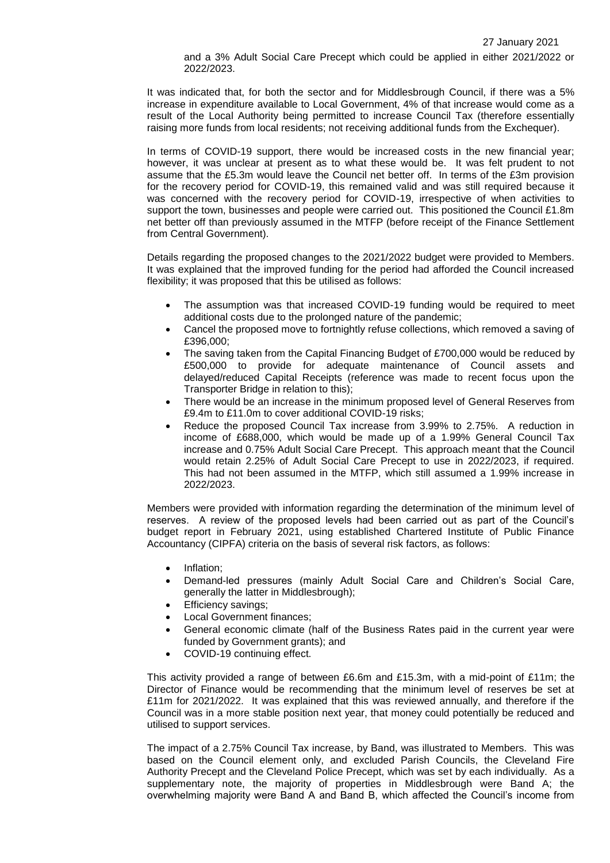and a 3% Adult Social Care Precept which could be applied in either 2021/2022 or 2022/2023.

It was indicated that, for both the sector and for Middlesbrough Council, if there was a 5% increase in expenditure available to Local Government, 4% of that increase would come as a result of the Local Authority being permitted to increase Council Tax (therefore essentially raising more funds from local residents; not receiving additional funds from the Exchequer).

In terms of COVID-19 support, there would be increased costs in the new financial year; however, it was unclear at present as to what these would be. It was felt prudent to not assume that the £5.3m would leave the Council net better off. In terms of the £3m provision for the recovery period for COVID-19, this remained valid and was still required because it was concerned with the recovery period for COVID-19, irrespective of when activities to support the town, businesses and people were carried out. This positioned the Council £1.8m net better off than previously assumed in the MTFP (before receipt of the Finance Settlement from Central Government).

Details regarding the proposed changes to the 2021/2022 budget were provided to Members. It was explained that the improved funding for the period had afforded the Council increased flexibility; it was proposed that this be utilised as follows:

- The assumption was that increased COVID-19 funding would be required to meet additional costs due to the prolonged nature of the pandemic;
- Cancel the proposed move to fortnightly refuse collections, which removed a saving of £396,000;
- The saving taken from the Capital Financing Budget of £700,000 would be reduced by £500,000 to provide for adequate maintenance of Council assets and delayed/reduced Capital Receipts (reference was made to recent focus upon the Transporter Bridge in relation to this);
- There would be an increase in the minimum proposed level of General Reserves from £9.4m to £11.0m to cover additional COVID-19 risks;
- Reduce the proposed Council Tax increase from 3.99% to 2.75%. A reduction in income of £688,000, which would be made up of a 1.99% General Council Tax increase and 0.75% Adult Social Care Precept. This approach meant that the Council would retain 2.25% of Adult Social Care Precept to use in 2022/2023, if required. This had not been assumed in the MTFP, which still assumed a 1.99% increase in 2022/2023.

Members were provided with information regarding the determination of the minimum level of reserves. A review of the proposed levels had been carried out as part of the Council's budget report in February 2021, using established Chartered Institute of Public Finance Accountancy (CIPFA) criteria on the basis of several risk factors, as follows:

- Inflation;
- Demand-led pressures (mainly Adult Social Care and Children's Social Care, generally the latter in Middlesbrough);
- Efficiency savings;
- Local Government finances;
- General economic climate (half of the Business Rates paid in the current year were funded by Government grants); and
- COVID-19 continuing effect.

This activity provided a range of between £6.6m and £15.3m, with a mid-point of £11m; the Director of Finance would be recommending that the minimum level of reserves be set at £11m for 2021/2022. It was explained that this was reviewed annually, and therefore if the Council was in a more stable position next year, that money could potentially be reduced and utilised to support services.

The impact of a 2.75% Council Tax increase, by Band, was illustrated to Members. This was based on the Council element only, and excluded Parish Councils, the Cleveland Fire Authority Precept and the Cleveland Police Precept, which was set by each individually. As a supplementary note, the majority of properties in Middlesbrough were Band A; the overwhelming majority were Band A and Band B, which affected the Council's income from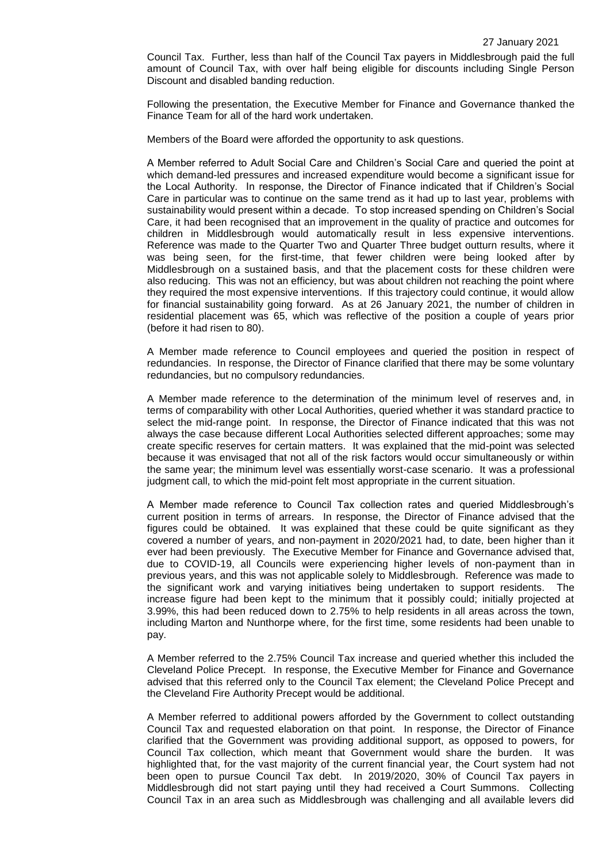Council Tax. Further, less than half of the Council Tax payers in Middlesbrough paid the full amount of Council Tax, with over half being eligible for discounts including Single Person Discount and disabled banding reduction.

Following the presentation, the Executive Member for Finance and Governance thanked the Finance Team for all of the hard work undertaken.

Members of the Board were afforded the opportunity to ask questions.

A Member referred to Adult Social Care and Children's Social Care and queried the point at which demand-led pressures and increased expenditure would become a significant issue for the Local Authority. In response, the Director of Finance indicated that if Children's Social Care in particular was to continue on the same trend as it had up to last year, problems with sustainability would present within a decade. To stop increased spending on Children's Social Care, it had been recognised that an improvement in the quality of practice and outcomes for children in Middlesbrough would automatically result in less expensive interventions. Reference was made to the Quarter Two and Quarter Three budget outturn results, where it was being seen, for the first-time, that fewer children were being looked after by Middlesbrough on a sustained basis, and that the placement costs for these children were also reducing. This was not an efficiency, but was about children not reaching the point where they required the most expensive interventions. If this trajectory could continue, it would allow for financial sustainability going forward. As at 26 January 2021, the number of children in residential placement was 65, which was reflective of the position a couple of years prior (before it had risen to 80).

A Member made reference to Council employees and queried the position in respect of redundancies. In response, the Director of Finance clarified that there may be some voluntary redundancies, but no compulsory redundancies.

A Member made reference to the determination of the minimum level of reserves and, in terms of comparability with other Local Authorities, queried whether it was standard practice to select the mid-range point. In response, the Director of Finance indicated that this was not always the case because different Local Authorities selected different approaches; some may create specific reserves for certain matters. It was explained that the mid-point was selected because it was envisaged that not all of the risk factors would occur simultaneously or within the same year; the minimum level was essentially worst-case scenario. It was a professional judgment call, to which the mid-point felt most appropriate in the current situation.

A Member made reference to Council Tax collection rates and queried Middlesbrough's current position in terms of arrears. In response, the Director of Finance advised that the figures could be obtained. It was explained that these could be quite significant as they covered a number of years, and non-payment in 2020/2021 had, to date, been higher than it ever had been previously. The Executive Member for Finance and Governance advised that, due to COVID-19, all Councils were experiencing higher levels of non-payment than in previous years, and this was not applicable solely to Middlesbrough. Reference was made to the significant work and varying initiatives being undertaken to support residents. The increase figure had been kept to the minimum that it possibly could; initially projected at 3.99%, this had been reduced down to 2.75% to help residents in all areas across the town, including Marton and Nunthorpe where, for the first time, some residents had been unable to pay.

A Member referred to the 2.75% Council Tax increase and queried whether this included the Cleveland Police Precept. In response, the Executive Member for Finance and Governance advised that this referred only to the Council Tax element; the Cleveland Police Precept and the Cleveland Fire Authority Precept would be additional.

A Member referred to additional powers afforded by the Government to collect outstanding Council Tax and requested elaboration on that point. In response, the Director of Finance clarified that the Government was providing additional support, as opposed to powers, for Council Tax collection, which meant that Government would share the burden. It was highlighted that, for the vast majority of the current financial year, the Court system had not been open to pursue Council Tax debt. In 2019/2020, 30% of Council Tax payers in Middlesbrough did not start paying until they had received a Court Summons. Collecting Council Tax in an area such as Middlesbrough was challenging and all available levers did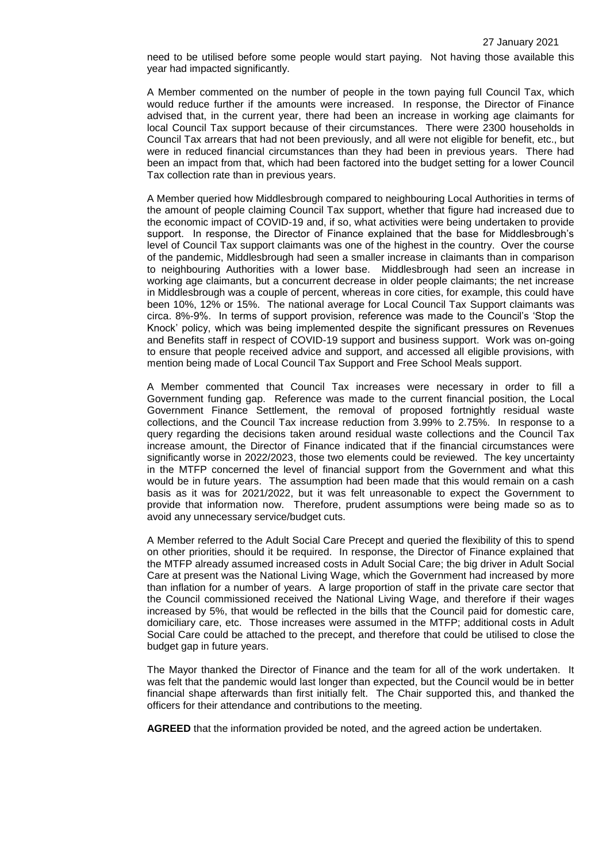need to be utilised before some people would start paying. Not having those available this year had impacted significantly.

A Member commented on the number of people in the town paying full Council Tax, which would reduce further if the amounts were increased. In response, the Director of Finance advised that, in the current year, there had been an increase in working age claimants for local Council Tax support because of their circumstances. There were 2300 households in Council Tax arrears that had not been previously, and all were not eligible for benefit, etc., but were in reduced financial circumstances than they had been in previous years. There had been an impact from that, which had been factored into the budget setting for a lower Council Tax collection rate than in previous years.

A Member queried how Middlesbrough compared to neighbouring Local Authorities in terms of the amount of people claiming Council Tax support, whether that figure had increased due to the economic impact of COVID-19 and, if so, what activities were being undertaken to provide support. In response, the Director of Finance explained that the base for Middlesbrough's level of Council Tax support claimants was one of the highest in the country. Over the course of the pandemic, Middlesbrough had seen a smaller increase in claimants than in comparison to neighbouring Authorities with a lower base. Middlesbrough had seen an increase in working age claimants, but a concurrent decrease in older people claimants; the net increase in Middlesbrough was a couple of percent, whereas in core cities, for example, this could have been 10%, 12% or 15%. The national average for Local Council Tax Support claimants was circa. 8%-9%. In terms of support provision, reference was made to the Council's 'Stop the Knock' policy, which was being implemented despite the significant pressures on Revenues and Benefits staff in respect of COVID-19 support and business support. Work was on-going to ensure that people received advice and support, and accessed all eligible provisions, with mention being made of Local Council Tax Support and Free School Meals support.

A Member commented that Council Tax increases were necessary in order to fill a Government funding gap. Reference was made to the current financial position, the Local Government Finance Settlement, the removal of proposed fortnightly residual waste collections, and the Council Tax increase reduction from 3.99% to 2.75%. In response to a query regarding the decisions taken around residual waste collections and the Council Tax increase amount, the Director of Finance indicated that if the financial circumstances were significantly worse in 2022/2023, those two elements could be reviewed. The key uncertainty in the MTFP concerned the level of financial support from the Government and what this would be in future years. The assumption had been made that this would remain on a cash basis as it was for 2021/2022, but it was felt unreasonable to expect the Government to provide that information now. Therefore, prudent assumptions were being made so as to avoid any unnecessary service/budget cuts.

A Member referred to the Adult Social Care Precept and queried the flexibility of this to spend on other priorities, should it be required. In response, the Director of Finance explained that the MTFP already assumed increased costs in Adult Social Care; the big driver in Adult Social Care at present was the National Living Wage, which the Government had increased by more than inflation for a number of years. A large proportion of staff in the private care sector that the Council commissioned received the National Living Wage, and therefore if their wages increased by 5%, that would be reflected in the bills that the Council paid for domestic care, domiciliary care, etc. Those increases were assumed in the MTFP; additional costs in Adult Social Care could be attached to the precept, and therefore that could be utilised to close the budget gap in future years.

The Mayor thanked the Director of Finance and the team for all of the work undertaken. It was felt that the pandemic would last longer than expected, but the Council would be in better financial shape afterwards than first initially felt. The Chair supported this, and thanked the officers for their attendance and contributions to the meeting.

**AGREED** that the information provided be noted, and the agreed action be undertaken.